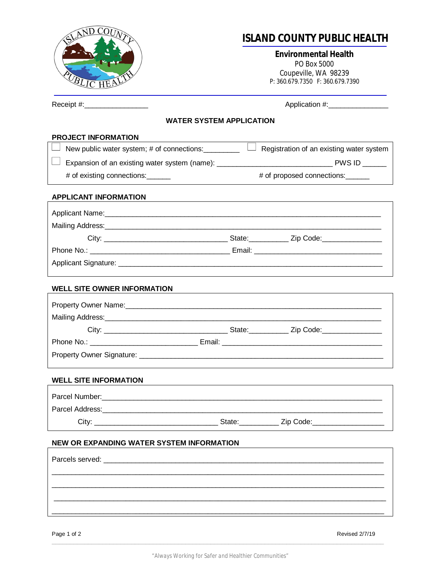

## **ISLAND COUNTY PUBLIC HEALTH**

**Environmental Health** PO Box 5000 Coupeville, WA 98239 P: 360.679.7350 F: 360.679.7390

| Receipt #:____________________             | Application #: __________________ |                                          |  |  |
|--------------------------------------------|-----------------------------------|------------------------------------------|--|--|
| <b>WATER SYSTEM APPLICATION</b>            |                                   |                                          |  |  |
| <b>PROJECT INFORMATION</b>                 |                                   |                                          |  |  |
| New public water system; # of connections: |                                   | Registration of an existing water system |  |  |
|                                            |                                   |                                          |  |  |
| # of existing connections:                 |                                   | # of proposed connections:               |  |  |
| <b>APPLICANT INFORMATION</b>               |                                   |                                          |  |  |
|                                            |                                   |                                          |  |  |
|                                            |                                   |                                          |  |  |
|                                            |                                   |                                          |  |  |
|                                            |                                   |                                          |  |  |
|                                            |                                   |                                          |  |  |
| <b>WELL SITE OWNER INFORMATION</b>         |                                   |                                          |  |  |
|                                            |                                   |                                          |  |  |
|                                            |                                   |                                          |  |  |
|                                            |                                   |                                          |  |  |
|                                            |                                   |                                          |  |  |
|                                            |                                   |                                          |  |  |
| <b>WELL SITE INFORMATION</b>               |                                   |                                          |  |  |
|                                            |                                   |                                          |  |  |
|                                            |                                   |                                          |  |  |
| City:                                      | State:                            | Zip Code:                                |  |  |
| NEW OR EXPANDING WATER SYSTEM INFORMATION  |                                   |                                          |  |  |
|                                            |                                   |                                          |  |  |
|                                            |                                   |                                          |  |  |
|                                            |                                   |                                          |  |  |
|                                            |                                   |                                          |  |  |
|                                            |                                   |                                          |  |  |
|                                            |                                   |                                          |  |  |